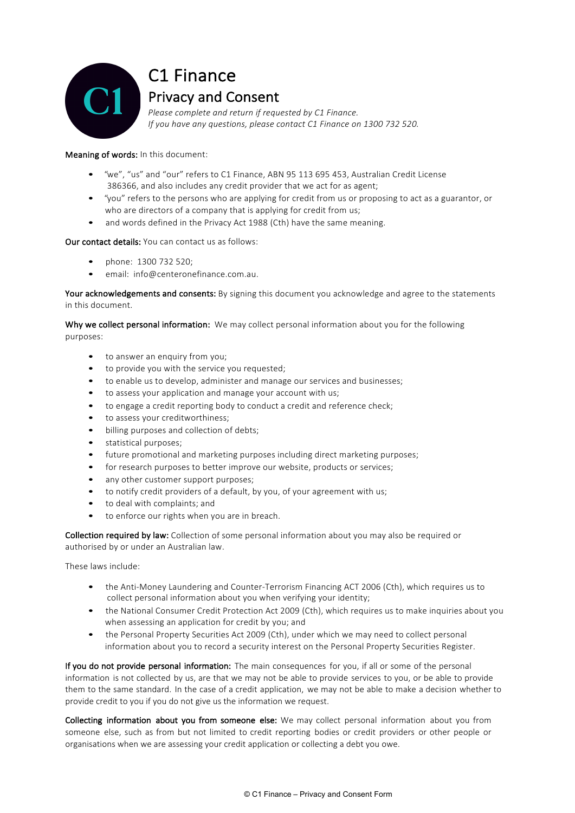

## C1 Finance **Privacy and Consent**

*Please complete and return if requested by C1 Finance. If you have any questions, please contact C1 Finance on 1300 732 520.*

## Meaning of words: In this document:

- "we", "us" and "our" refers to C1 Finance, ABN 95 113 695 453, Australian Credit License 386366, and also includes any credit provider that we act for as agent;
- "you" refers to the persons who are applying for credit from us or proposing to act as a guarantor, or who are directors of a company that is applying for credit from us;
- and words defined in the Privacy Act 1988 (Cth) have the same meaning.

## Our contact details: You can contact us as follows:

- phone: 1300 732 520;
- email: info@centeronefinance.com.au.

Your acknowledgements and consents: By signing this document you acknowledge and agree to the statements in this document.

Why we collect personal information: We may collect personal information about you for the following purposes:

- to answer an enquiry from you;
- to provide you with the service you requested;
- to enable us to develop, administer and manage our services and businesses;
- to assess your application and manage your account with us;
- to engage a credit reporting body to conduct a credit and reference check;
- to assess your creditworthiness;
- billing purposes and collection of debts;
- statistical purposes;
- future promotional and marketing purposes including direct marketing purposes;
- for research purposes to better improve our website, products or services;
- any other customer support purposes;
- to notify credit providers of a default, by you, of your agreement with us;
- to deal with complaints; and
- to enforce our rights when you are in breach.

Collection required by law: Collection of some personal information about you may also be required or authorised by or under an Australian law.

These laws include:

- the Anti-Money Laundering and Counter-Terrorism Financing ACT 2006 (Cth), which requires us to collect personal information about you when verifying your identity;
- the National Consumer Credit Protection Act 2009 (Cth), which requires us to make inquiries about you when assessing an application for credit by you; and
- the Personal Property Securities Act 2009 (Cth), under which we may need to collect personal information about you to record a security interest on the Personal Property Securities Register.

If you do not provide personal information: The main consequences for you, if all or some of the personal information is not collected by us, are that we may not be able to provide services to you, or be able to provide them to the same standard. In the case of a credit application, we may not be able to make a decision whether to provide credit to you if you do not give us the information we request.

Collecting information about you from someone else: We may collect personal information about you from someone else, such as from but not limited to credit reporting bodies or credit providers or other people or organisations when we are assessing your credit application or collecting a debt you owe.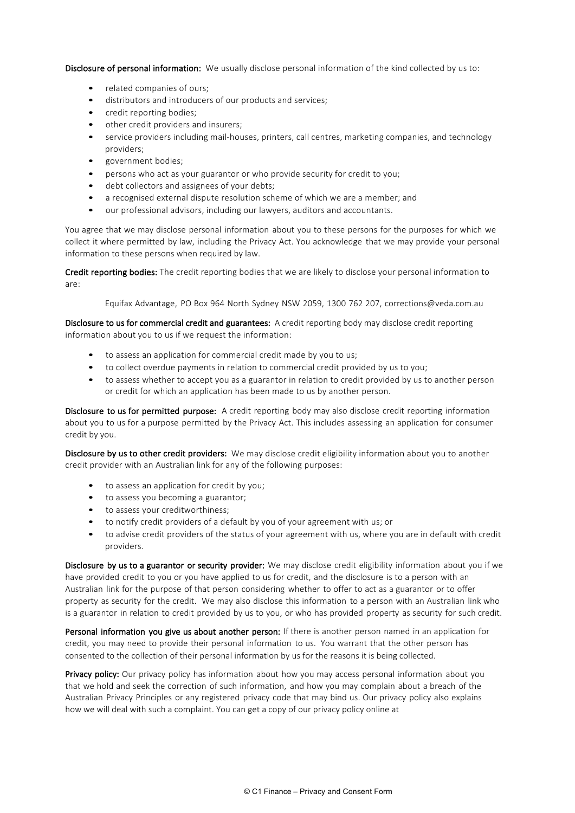Disclosure of personal information: We usually disclose personal information of the kind collected by us to:

- related companies of ours;
- distributors and introducers of our products and services;
- credit reporting bodies;
- other credit providers and insurers;
- service providers including mail-houses, printers, call centres, marketing companies, and technology providers;
- government bodies;
- persons who act as your guarantor or who provide security for credit to you;
- debt collectors and assignees of your debts;
- a recognised external dispute resolution scheme of which we are a member; and
- our professional advisors, including our lawyers, auditors and accountants.

You agree that we may disclose personal information about you to these persons for the purposes for which we collect it where permitted by law, including the Privacy Act. You acknowledge that we may provide your personal information to these persons when required by law.

Credit reporting bodies: The credit reporting bodies that we are likely to disclose your personal information to are:

Equifax Advantage, PO Box 964 North Sydney NSW 2059, 1300 762 207, corrections@veda.com.au

Disclosure to us for commercial credit and guarantees: A credit reporting body may disclose credit reporting information about you to us if we request the information:

- to assess an application for commercial credit made by you to us;
- to collect overdue payments in relation to commercial credit provided by us to you;
- to assess whether to accept you as a guarantor in relation to credit provided by us to another person or credit for which an application has been made to us by another person.

Disclosure to us for permitted purpose: A credit reporting body may also disclose credit reporting information about you to us for a purpose permitted by the Privacy Act. This includes assessing an application for consumer credit by you.

Disclosure by us to other credit providers: We may disclose credit eligibility information about you to another credit provider with an Australian link for any of the following purposes:

- to assess an application for credit by you;
- to assess you becoming a guarantor;
- to assess your creditworthiness;
- to notify credit providers of a default by you of your agreement with us; or
- to advise credit providers of the status of your agreement with us, where you are in default with credit providers.

Disclosure by us to a guarantor or security provider: We may disclose credit eligibility information about you if we have provided credit to you or you have applied to us for credit, and the disclosure is to a person with an Australian link for the purpose of that person considering whether to offer to act as a guarantor or to offer property as security for the credit. We may also disclose this information to a person with an Australian link who is a guarantor in relation to credit provided by us to you, or who has provided property as security for such credit.

Personal information you give us about another person: If there is another person named in an application for credit, you may need to provide their personal information to us. You warrant that the other person has consented to the collection of their personal information by us for the reasons it is being collected.

**Privacy policy:** Our privacy policy has information about how you may access personal information about you that we hold and seek the correction of such information, and how you may complain about a breach of the Australian Privacy Principles or any registered privacy code that may bind us. Our privacy policy also explains how we will deal with such a complaint. You can get a copy of our privacy policy online at